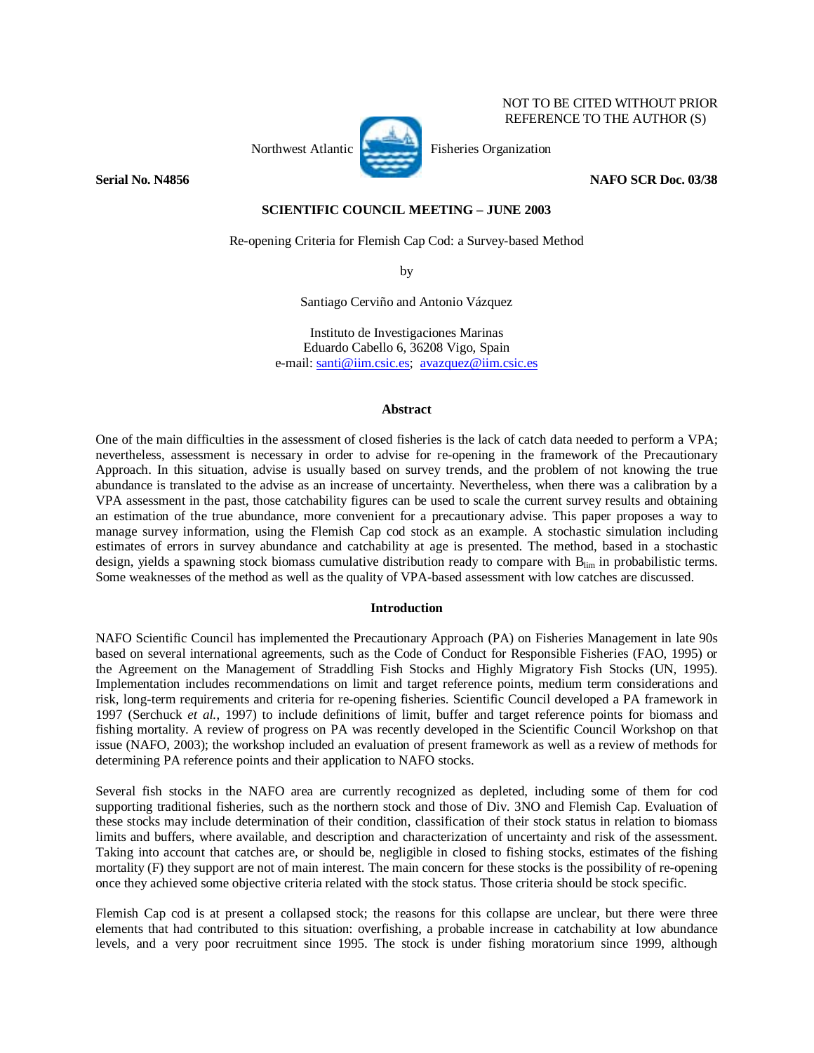# Northwest Atlantic **Fisheries** Organization

NOT TO BE CITED WITHOUT PRIOR REFERENCE TO THE AUTHOR (S)

# **Serial No. N4856** NAFO SCR Doc. 03/38

## **SCIENTIFIC COUNCIL MEETING – JUNE 2003**

Re-opening Criteria for Flemish Cap Cod: a Survey-based Method

by

Santiago Cerviño and Antonio Vázquez

Instituto de Investigaciones Marinas Eduardo Cabello 6, 36208 Vigo, Spain e-mail: santi@iim.csic.es; avazquez@iim.csic.es

## **Abstract**

One of the main difficulties in the assessment of closed fisheries is the lack of catch data needed to perform a VPA; nevertheless, assessment is necessary in order to advise for re-opening in the framework of the Precautionary Approach. In this situation, advise is usually based on survey trends, and the problem of not knowing the true abundance is translated to the advise as an increase of uncertainty. Nevertheless, when there was a calibration by a VPA assessment in the past, those catchability figures can be used to scale the current survey results and obtaining an estimation of the true abundance, more convenient for a precautionary advise. This paper proposes a way to manage survey information, using the Flemish Cap cod stock as an example. A stochastic simulation including estimates of errors in survey abundance and catchability at age is presented. The method, based in a stochastic design, yields a spawning stock biomass cumulative distribution ready to compare with B<sub>lim</sub> in probabilistic terms. Some weaknesses of the method as well as the quality of VPA-based assessment with low catches are discussed.

## **Introduction**

NAFO Scientific Council has implemented the Precautionary Approach (PA) on Fisheries Management in late 90s based on several international agreements, such as the Code of Conduct for Responsible Fisheries (FAO, 1995) or the Agreement on the Management of Straddling Fish Stocks and Highly Migratory Fish Stocks (UN, 1995). Implementation includes recommendations on limit and target reference points, medium term considerations and risk, long-term requirements and criteria for re-opening fisheries. Scientific Council developed a PA framework in 1997 (Serchuck *et al.*, 1997) to include definitions of limit, buffer and target reference points for biomass and fishing mortality. A review of progress on PA was recently developed in the Scientific Council Workshop on that issue (NAFO, 2003); the workshop included an evaluation of present framework as well as a review of methods for determining PA reference points and their application to NAFO stocks.

Several fish stocks in the NAFO area are currently recognized as depleted, including some of them for cod supporting traditional fisheries, such as the northern stock and those of Div. 3NO and Flemish Cap. Evaluation of these stocks may include determination of their condition, classification of their stock status in relation to biomass limits and buffers, where available, and description and characterization of uncertainty and risk of the assessment. Taking into account that catches are, or should be, negligible in closed to fishing stocks, estimates of the fishing mortality (F) they support are not of main interest. The main concern for these stocks is the possibility of re-opening once they achieved some objective criteria related with the stock status. Those criteria should be stock specific.

Flemish Cap cod is at present a collapsed stock; the reasons for this collapse are unclear, but there were three elements that had contributed to this situation: overfishing, a probable increase in catchability at low abundance levels, and a very poor recruitment since 1995. The stock is under fishing moratorium since 1999, although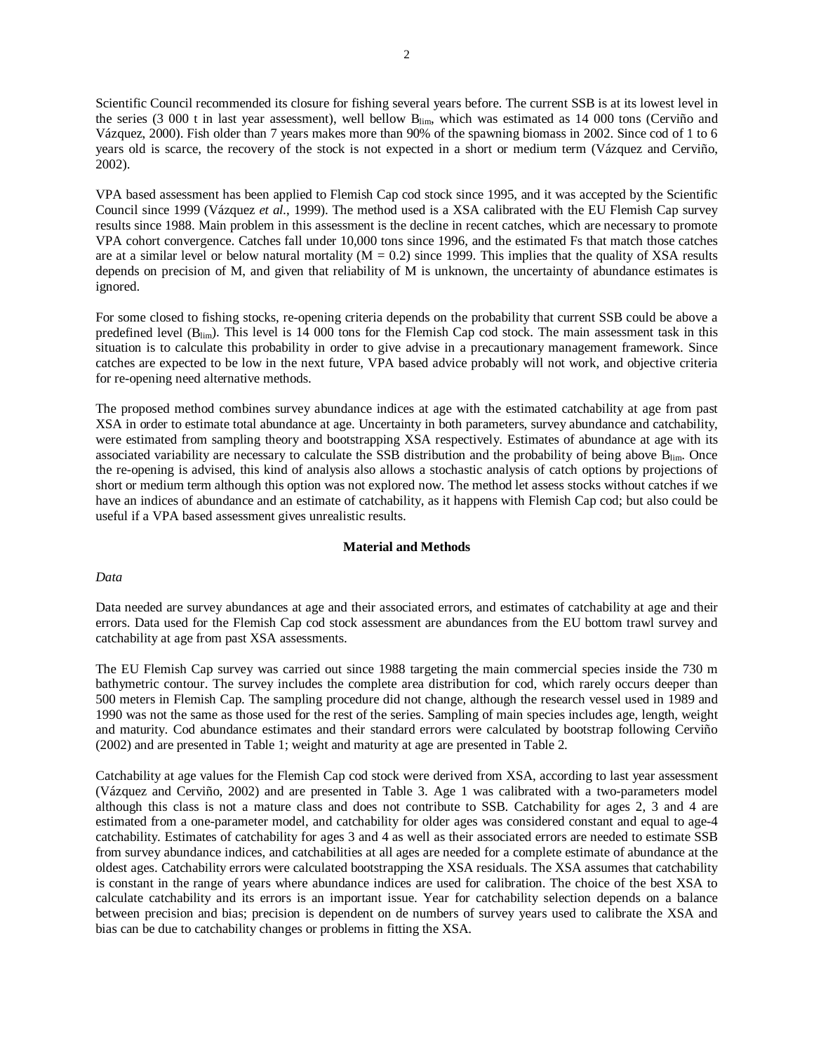Scientific Council recommended its closure for fishing several years before. The current SSB is at its lowest level in the series (3 000 t in last year assessment), well bellow  $B_{\text{lim}}$ , which was estimated as 14 000 tons (Cerviño and Vázquez, 2000). Fish older than 7 years makes more than 90% of the spawning biomass in 2002. Since cod of 1 to 6 years old is scarce, the recovery of the stock is not expected in a short or medium term (Vázquez and Cerviño, 2002).

VPA based assessment has been applied to Flemish Cap cod stock since 1995, and it was accepted by the Scientific Council since 1999 (Vázquez *et al.*, 1999). The method used is a XSA calibrated with the EU Flemish Cap survey results since 1988. Main problem in this assessment is the decline in recent catches, which are necessary to promote VPA cohort convergence. Catches fall under 10,000 tons since 1996, and the estimated Fs that match those catches are at a similar level or below natural mortality ( $M = 0.2$ ) since 1999. This implies that the quality of XSA results depends on precision of M, and given that reliability of M is unknown, the uncertainty of abundance estimates is ignored.

For some closed to fishing stocks, re-opening criteria depends on the probability that current SSB could be above a predefined level ( $B_{lim}$ ). This level is 14 000 tons for the Flemish Cap cod stock. The main assessment task in this situation is to calculate this probability in order to give advise in a precautionary management framework. Since catches are expected to be low in the next future, VPA based advice probably will not work, and objective criteria for re-opening need alternative methods.

The proposed method combines survey abundance indices at age with the estimated catchability at age from past XSA in order to estimate total abundance at age. Uncertainty in both parameters, survey abundance and catchability, were estimated from sampling theory and bootstrapping XSA respectively. Estimates of abundance at age with its associated variability are necessary to calculate the SSB distribution and the probability of being above  $B_{\text{lim}}$ . Once the re-opening is advised, this kind of analysis also allows a stochastic analysis of catch options by projections of short or medium term although this option was not explored now. The method let assess stocks without catches if we have an indices of abundance and an estimate of catchability, as it happens with Flemish Cap cod; but also could be useful if a VPA based assessment gives unrealistic results.

#### **Material and Methods**

## *Data*

Data needed are survey abundances at age and their associated errors, and estimates of catchability at age and their errors. Data used for the Flemish Cap cod stock assessment are abundances from the EU bottom trawl survey and catchability at age from past XSA assessments.

The EU Flemish Cap survey was carried out since 1988 targeting the main commercial species inside the 730 m bathymetric contour. The survey includes the complete area distribution for cod, which rarely occurs deeper than 500 meters in Flemish Cap. The sampling procedure did not change, although the research vessel used in 1989 and 1990 was not the same as those used for the rest of the series. Sampling of main species includes age, length, weight and maturity. Cod abundance estimates and their standard errors were calculated by bootstrap following Cerviño (2002) and are presented in Table 1; weight and maturity at age are presented in Table 2.

Catchability at age values for the Flemish Cap cod stock were derived from XSA, according to last year assessment (Vázquez and Cerviño, 2002) and are presented in Table 3. Age 1 was calibrated with a two-parameters model although this class is not a mature class and does not contribute to SSB. Catchability for ages 2, 3 and 4 are estimated from a one-parameter model, and catchability for older ages was considered constant and equal to age-4 catchability. Estimates of catchability for ages 3 and 4 as well as their associated errors are needed to estimate SSB from survey abundance indices, and catchabilities at all ages are needed for a complete estimate of abundance at the oldest ages. Catchability errors were calculated bootstrapping the XSA residuals. The XSA assumes that catchability is constant in the range of years where abundance indices are used for calibration. The choice of the best XSA to calculate catchability and its errors is an important issue. Year for catchability selection depends on a balance between precision and bias; precision is dependent on de numbers of survey years used to calibrate the XSA and bias can be due to catchability changes or problems in fitting the XSA.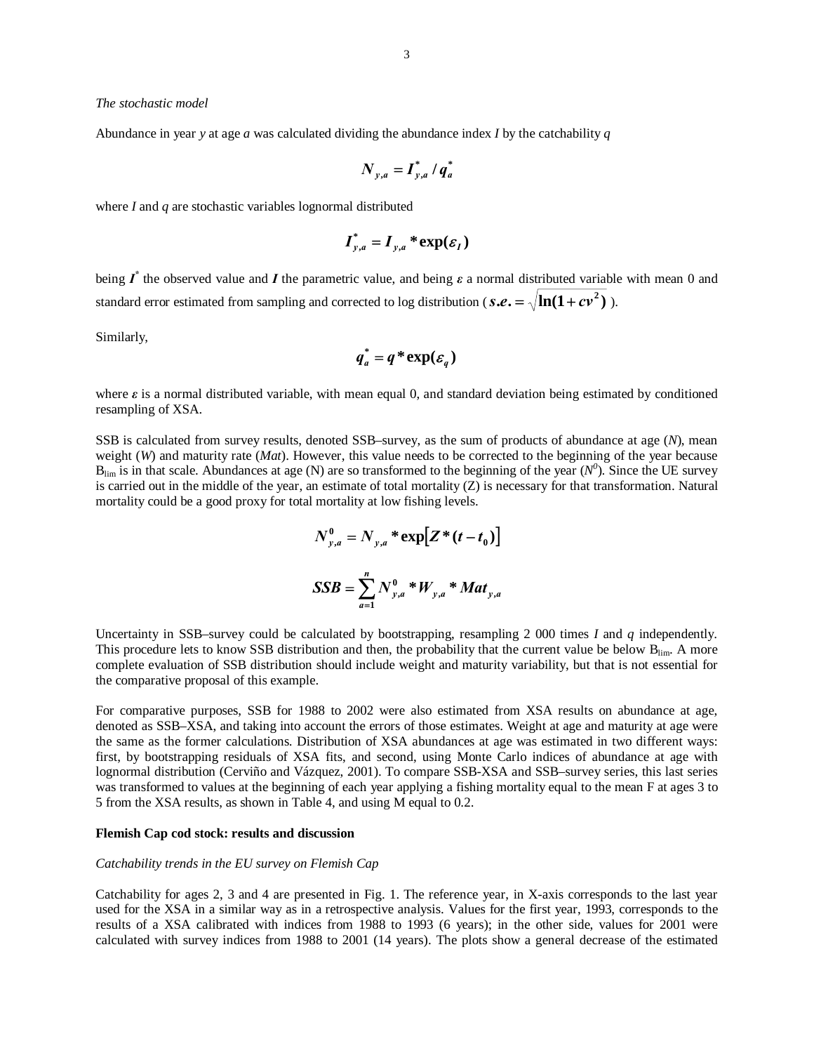#### *The stochastic model*

Abundance in year *y* at age *a* was calculated dividing the abundance index *I* by the catchability *q*

$$
\boldsymbol{N}_{y,a} = \boldsymbol{I}_{y,a}^* / \boldsymbol{q}_a^*
$$

where *I* and *q* are stochastic variables lognormal distributed

$$
\boldsymbol{I}_{y,a}^* = \boldsymbol{I}_{y,a}^* \cdot \exp(\boldsymbol{\varepsilon}_I)
$$

being  $I^*$  the observed value and  $I$  the parametric value, and being  $\varepsilon$  a normal distributed variable with mean 0 and standard error estimated from sampling and corrected to log distribution ( $s.e. = \sqrt{\ln(1+cv^2)}$ ).

Similarly,

$$
q_a^* = q^* \exp(\varepsilon_q)
$$

where *ε* is a normal distributed variable, with mean equal 0, and standard deviation being estimated by conditioned resampling of XSA.

SSB is calculated from survey results, denoted SSB–survey, as the sum of products of abundance at age (*N*), mean weight (*W*) and maturity rate (*Mat*). However, this value needs to be corrected to the beginning of the year because  $B_{\lim}$  is in that scale. Abundances at age (N) are so transformed to the beginning of the year ( $N^0$ ). Since the UE survey is carried out in the middle of the year, an estimate of total mortality (Z) is necessary for that transformation. Natural mortality could be a good proxy for total mortality at low fishing levels.

$$
N_{y,a}^{0} = N_{y,a} * \exp[Z*(t-t_0)]
$$
  

$$
SSB = \sum_{a=1}^{n} N_{y,a}^{0} * W_{y,a} * Mat_{y,a}
$$

Uncertainty in SSB–survey could be calculated by bootstrapping, resampling 2 000 times *I* and *q* independently. This procedure lets to know SSB distribution and then, the probability that the current value be below  $B_{\text{lim}}$ . A more complete evaluation of SSB distribution should include weight and maturity variability, but that is not essential for the comparative proposal of this example.

For comparative purposes, SSB for 1988 to 2002 were also estimated from XSA results on abundance at age, denoted as SSB–XSA, and taking into account the errors of those estimates. Weight at age and maturity at age were the same as the former calculations. Distribution of XSA abundances at age was estimated in two different ways: first, by bootstrapping residuals of XSA fits, and second, using Monte Carlo indices of abundance at age with lognormal distribution (Cerviño and Vázquez, 2001). To compare SSB-XSA and SSB–survey series, this last series was transformed to values at the beginning of each year applying a fishing mortality equal to the mean F at ages 3 to 5 from the XSA results, as shown in Table 4, and using M equal to 0.2.

#### **Flemish Cap cod stock: results and discussion**

#### *Catchability trends in the EU survey on Flemish Cap*

Catchability for ages 2, 3 and 4 are presented in Fig. 1. The reference year, in X-axis corresponds to the last year used for the XSA in a similar way as in a retrospective analysis. Values for the first year, 1993, corresponds to the results of a XSA calibrated with indices from 1988 to 1993 (6 years); in the other side, values for 2001 were calculated with survey indices from 1988 to 2001 (14 years). The plots show a general decrease of the estimated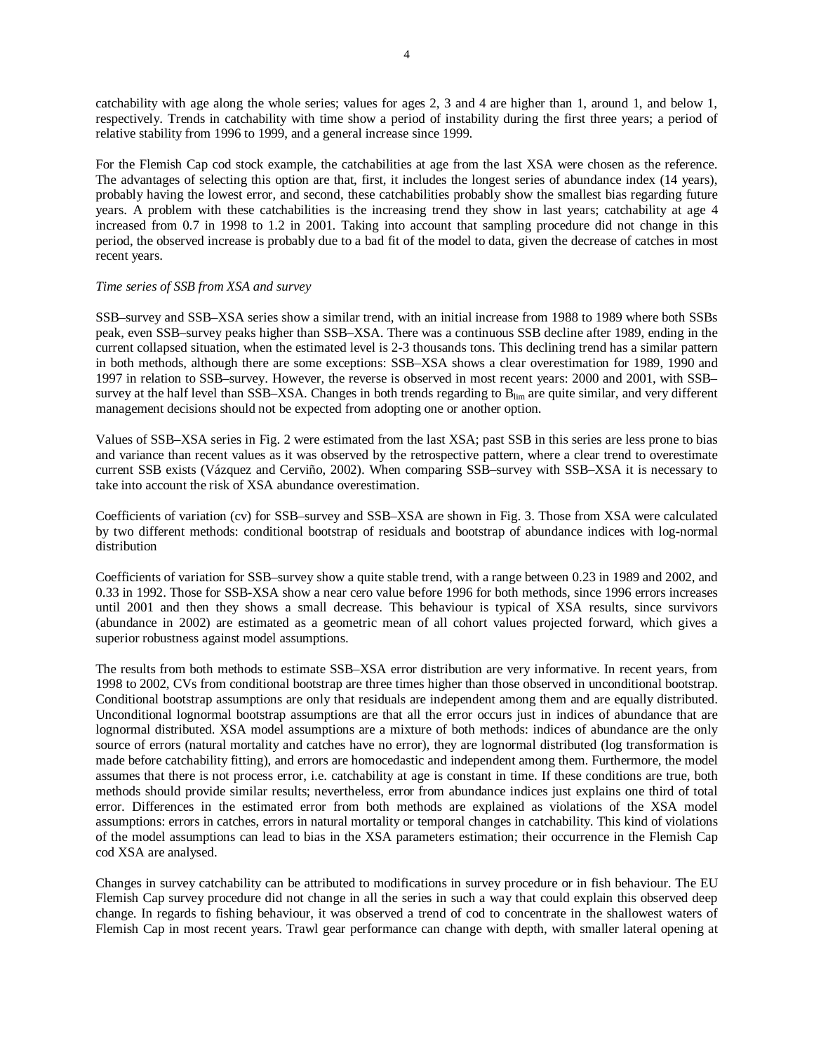catchability with age along the whole series; values for ages 2, 3 and 4 are higher than 1, around 1, and below 1, respectively. Trends in catchability with time show a period of instability during the first three years; a period of relative stability from 1996 to 1999, and a general increase since 1999.

For the Flemish Cap cod stock example, the catchabilities at age from the last XSA were chosen as the reference. The advantages of selecting this option are that, first, it includes the longest series of abundance index (14 years), probably having the lowest error, and second, these catchabilities probably show the smallest bias regarding future years. A problem with these catchabilities is the increasing trend they show in last years; catchability at age 4 increased from 0.7 in 1998 to 1.2 in 2001. Taking into account that sampling procedure did not change in this period, the observed increase is probably due to a bad fit of the model to data, given the decrease of catches in most recent years.

#### *Time series of SSB from XSA and survey*

SSB–survey and SSB–XSA series show a similar trend, with an initial increase from 1988 to 1989 where both SSBs peak, even SSB–survey peaks higher than SSB–XSA. There was a continuous SSB decline after 1989, ending in the current collapsed situation, when the estimated level is 2-3 thousands tons. This declining trend has a similar pattern in both methods, although there are some exceptions: SSB–XSA shows a clear overestimation for 1989, 1990 and 1997 in relation to SSB–survey. However, the reverse is observed in most recent years: 2000 and 2001, with SSB– survey at the half level than SSB–XSA. Changes in both trends regarding to B<sub>lim</sub> are quite similar, and very different management decisions should not be expected from adopting one or another option.

Values of SSB–XSA series in Fig. 2 were estimated from the last XSA; past SSB in this series are less prone to bias and variance than recent values as it was observed by the retrospective pattern, where a clear trend to overestimate current SSB exists (Vázquez and Cerviño, 2002). When comparing SSB–survey with SSB–XSA it is necessary to take into account the risk of XSA abundance overestimation.

Coefficients of variation (cv) for SSB–survey and SSB–XSA are shown in Fig. 3. Those from XSA were calculated by two different methods: conditional bootstrap of residuals and bootstrap of abundance indices with log-normal distribution

Coefficients of variation for SSB–survey show a quite stable trend, with a range between 0.23 in 1989 and 2002, and 0.33 in 1992. Those for SSB-XSA show a near cero value before 1996 for both methods, since 1996 errors increases until 2001 and then they shows a small decrease. This behaviour is typical of XSA results, since survivors (abundance in 2002) are estimated as a geometric mean of all cohort values projected forward, which gives a superior robustness against model assumptions.

The results from both methods to estimate SSB–XSA error distribution are very informative. In recent years, from 1998 to 2002, CVs from conditional bootstrap are three times higher than those observed in unconditional bootstrap. Conditional bootstrap assumptions are only that residuals are independent among them and are equally distributed. Unconditional lognormal bootstrap assumptions are that all the error occurs just in indices of abundance that are lognormal distributed. XSA model assumptions are a mixture of both methods: indices of abundance are the only source of errors (natural mortality and catches have no error), they are lognormal distributed (log transformation is made before catchability fitting), and errors are homocedastic and independent among them. Furthermore, the model assumes that there is not process error, i.e. catchability at age is constant in time. If these conditions are true, both methods should provide similar results; nevertheless, error from abundance indices just explains one third of total error. Differences in the estimated error from both methods are explained as violations of the XSA model assumptions: errors in catches, errors in natural mortality or temporal changes in catchability. This kind of violations of the model assumptions can lead to bias in the XSA parameters estimation; their occurrence in the Flemish Cap cod XSA are analysed.

Changes in survey catchability can be attributed to modifications in survey procedure or in fish behaviour. The EU Flemish Cap survey procedure did not change in all the series in such a way that could explain this observed deep change. In regards to fishing behaviour, it was observed a trend of cod to concentrate in the shallowest waters of Flemish Cap in most recent years. Trawl gear performance can change with depth, with smaller lateral opening at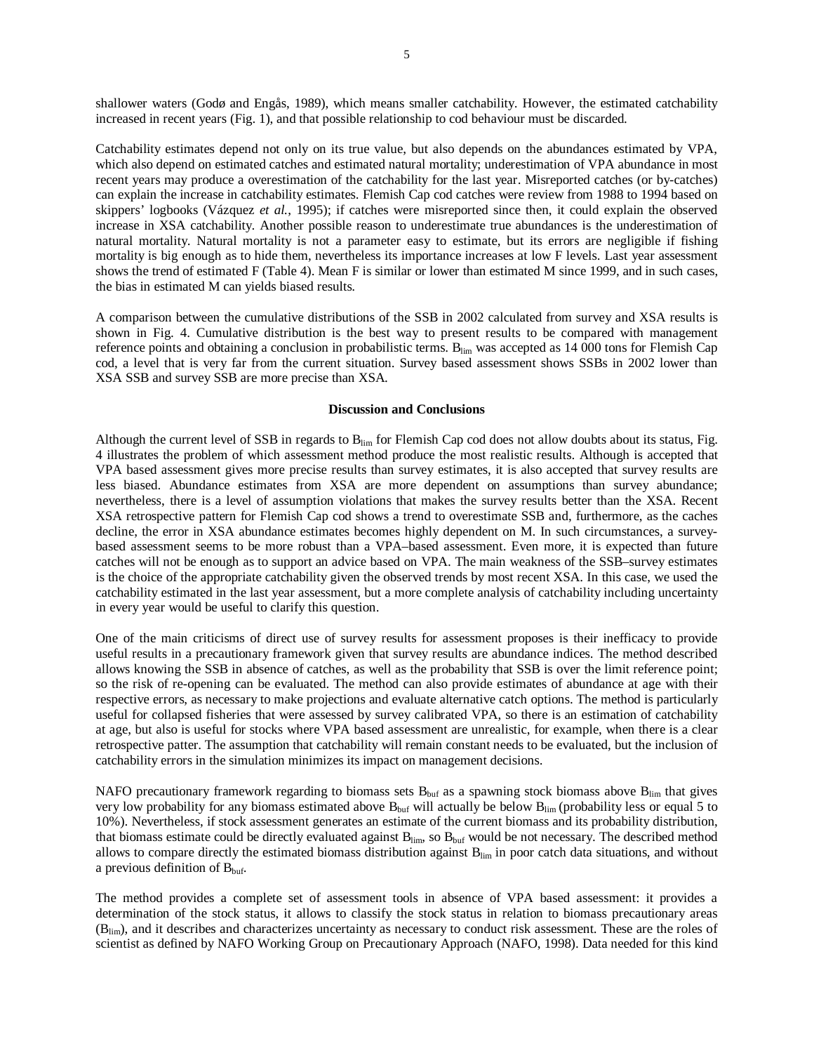shallower waters (Godø and Engås, 1989), which means smaller catchability. However, the estimated catchability increased in recent years (Fig. 1), and that possible relationship to cod behaviour must be discarded.

Catchability estimates depend not only on its true value, but also depends on the abundances estimated by VPA, which also depend on estimated catches and estimated natural mortality; underestimation of VPA abundance in most recent years may produce a overestimation of the catchability for the last year. Misreported catches (or by-catches) can explain the increase in catchability estimates. Flemish Cap cod catches were review from 1988 to 1994 based on skippers' logbooks (Vázquez *et al.*, 1995); if catches were misreported since then, it could explain the observed increase in XSA catchability. Another possible reason to underestimate true abundances is the underestimation of natural mortality. Natural mortality is not a parameter easy to estimate, but its errors are negligible if fishing mortality is big enough as to hide them, nevertheless its importance increases at low F levels. Last year assessment shows the trend of estimated F (Table 4). Mean F is similar or lower than estimated M since 1999, and in such cases, the bias in estimated M can yields biased results.

A comparison between the cumulative distributions of the SSB in 2002 calculated from survey and XSA results is shown in Fig. 4. Cumulative distribution is the best way to present results to be compared with management reference points and obtaining a conclusion in probabilistic terms. B<sub>lim</sub> was accepted as 14 000 tons for Flemish Cap cod, a level that is very far from the current situation. Survey based assessment shows SSBs in 2002 lower than XSA SSB and survey SSB are more precise than XSA.

#### **Discussion and Conclusions**

Although the current level of SSB in regards to  $B_{\text{lim}}$  for Flemish Cap cod does not allow doubts about its status, Fig. 4 illustrates the problem of which assessment method produce the most realistic results. Although is accepted that VPA based assessment gives more precise results than survey estimates, it is also accepted that survey results are less biased. Abundance estimates from XSA are more dependent on assumptions than survey abundance; nevertheless, there is a level of assumption violations that makes the survey results better than the XSA. Recent XSA retrospective pattern for Flemish Cap cod shows a trend to overestimate SSB and, furthermore, as the caches decline, the error in XSA abundance estimates becomes highly dependent on M. In such circumstances, a surveybased assessment seems to be more robust than a VPA–based assessment. Even more, it is expected than future catches will not be enough as to support an advice based on VPA. The main weakness of the SSB–survey estimates is the choice of the appropriate catchability given the observed trends by most recent XSA. In this case, we used the catchability estimated in the last year assessment, but a more complete analysis of catchability including uncertainty in every year would be useful to clarify this question.

One of the main criticisms of direct use of survey results for assessment proposes is their inefficacy to provide useful results in a precautionary framework given that survey results are abundance indices. The method described allows knowing the SSB in absence of catches, as well as the probability that SSB is over the limit reference point; so the risk of re-opening can be evaluated. The method can also provide estimates of abundance at age with their respective errors, as necessary to make projections and evaluate alternative catch options. The method is particularly useful for collapsed fisheries that were assessed by survey calibrated VPA, so there is an estimation of catchability at age, but also is useful for stocks where VPA based assessment are unrealistic, for example, when there is a clear retrospective patter. The assumption that catchability will remain constant needs to be evaluated, but the inclusion of catchability errors in the simulation minimizes its impact on management decisions.

NAFO precautionary framework regarding to biomass sets  $B_{\text{buf}}$  as a spawning stock biomass above  $B_{\text{lim}}$  that gives very low probability for any biomass estimated above  $B_{\text{buf}}$  will actually be below  $B_{\text{lim}}$  (probability less or equal 5 to 10%). Nevertheless, if stock assessment generates an estimate of the current biomass and its probability distribution, that biomass estimate could be directly evaluated against  $B_{\text{lim}}$ , so  $B_{\text{buf}}$  would be not necessary. The described method allows to compare directly the estimated biomass distribution against  $B_{\text{lim}}$  in poor catch data situations, and without a previous definition of  $B_{\text{buf}}$ .

The method provides a complete set of assessment tools in absence of VPA based assessment: it provides a determination of the stock status, it allows to classify the stock status in relation to biomass precautionary areas (Blim), and it describes and characterizes uncertainty as necessary to conduct risk assessment. These are the roles of scientist as defined by NAFO Working Group on Precautionary Approach (NAFO, 1998). Data needed for this kind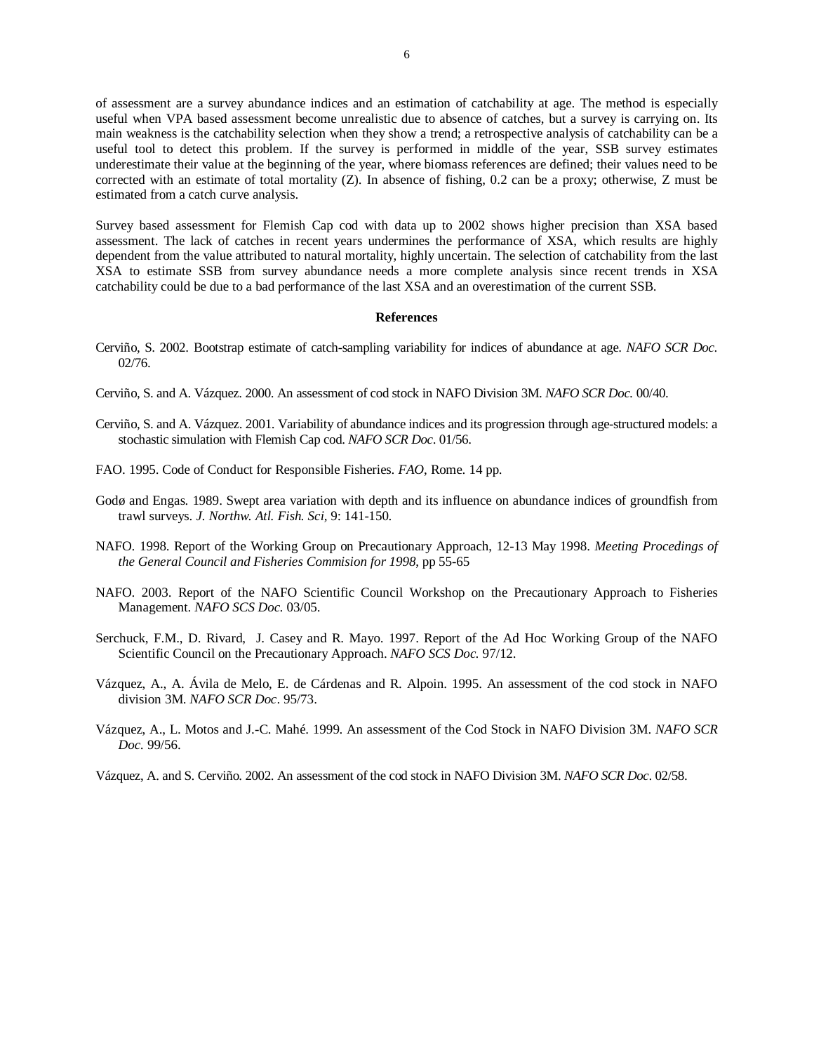of assessment are a survey abundance indices and an estimation of catchability at age. The method is especially useful when VPA based assessment become unrealistic due to absence of catches, but a survey is carrying on. Its main weakness is the catchability selection when they show a trend; a retrospective analysis of catchability can be a useful tool to detect this problem. If the survey is performed in middle of the year, SSB survey estimates underestimate their value at the beginning of the year, where biomass references are defined; their values need to be corrected with an estimate of total mortality (Z). In absence of fishing, 0.2 can be a proxy; otherwise, Z must be estimated from a catch curve analysis.

Survey based assessment for Flemish Cap cod with data up to 2002 shows higher precision than XSA based assessment. The lack of catches in recent years undermines the performance of XSA, which results are highly dependent from the value attributed to natural mortality, highly uncertain. The selection of catchability from the last XSA to estimate SSB from survey abundance needs a more complete analysis since recent trends in XSA catchability could be due to a bad performance of the last XSA and an overestimation of the current SSB.

#### **References**

- Cerviño, S. 2002. Bootstrap estimate of catch-sampling variability for indices of abundance at age. *NAFO SCR Doc*. 02/76.
- Cerviño, S. and A. Vázquez. 2000. An assessment of cod stock in NAFO Division 3M. *NAFO SCR Doc.* 00/40.
- Cerviño, S. and A. Vázquez. 2001. Variability of abundance indices and its progression through age-structured models: a stochastic simulation with Flemish Cap cod. *NAFO SCR Doc*. 01/56.
- FAO. 1995. Code of Conduct for Responsible Fisheries. *FAO*, Rome. 14 pp.
- Godø and Engas. 1989. Swept area variation with depth and its influence on abundance indices of groundfish from trawl surveys. *J. Northw. Atl. Fish. Sci,* 9: 141-150.
- NAFO. 1998. Report of the Working Group on Precautionary Approach, 12-13 May 1998. *Meeting Procedings of the General Council and Fisheries Commision for 1998*, pp 55-65
- NAFO. 2003. Report of the NAFO Scientific Council Workshop on the Precautionary Approach to Fisheries Management. *NAFO SCS Doc.* 03/05.
- Serchuck, F.M., D. Rivard, J. Casey and R. Mayo. 1997. Report of the Ad Hoc Working Group of the NAFO Scientific Council on the Precautionary Approach. *NAFO SCS Doc.* 97/12.
- Vázquez, A., A. Ávila de Melo, E. de Cárdenas and R. Alpoin. 1995. An assessment of the cod stock in NAFO division 3M. *NAFO SCR Doc*. 95/73.
- Vázquez, A., L. Motos and J.-C. Mahé. 1999. An assessment of the Cod Stock in NAFO Division 3M. *NAFO SCR Doc.* 99/56.

Vázquez, A. and S. Cerviño. 2002. An assessment of the cod stock in NAFO Division 3M. *NAFO SCR Doc*. 02/58.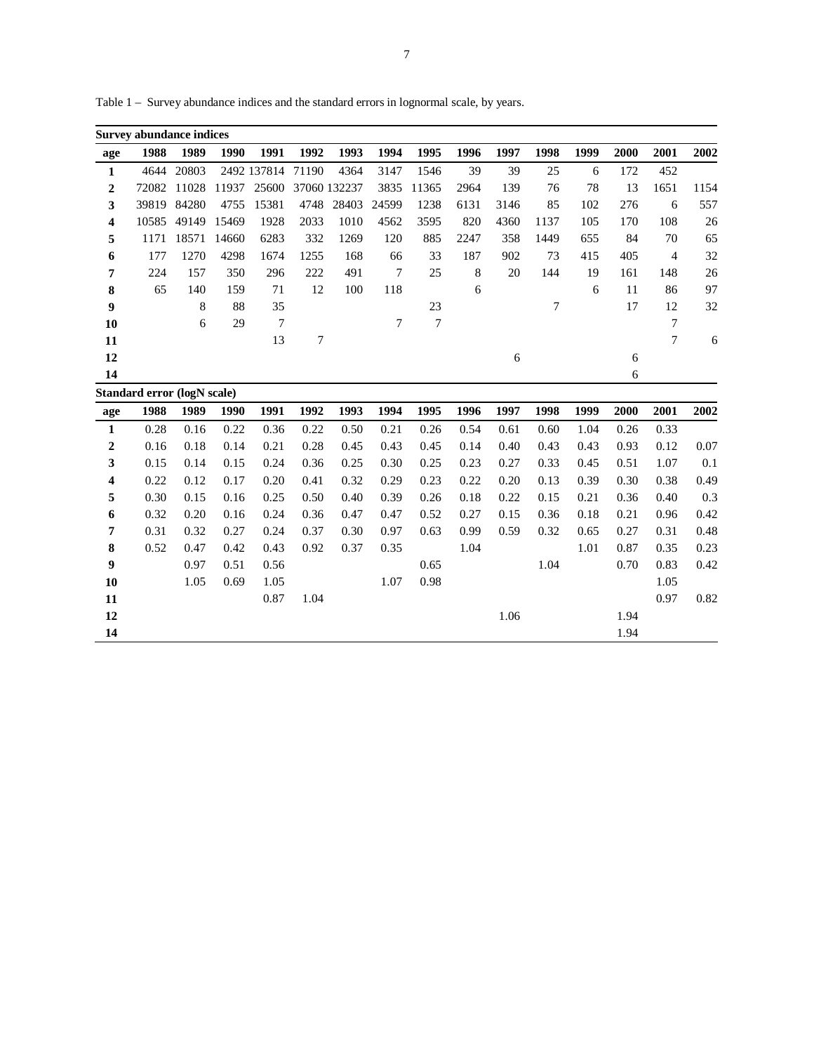|                  | <b>Survey abundance indices</b> |         |       |             |       |              |        |                |         |        |      |      |      |                |      |
|------------------|---------------------------------|---------|-------|-------------|-------|--------------|--------|----------------|---------|--------|------|------|------|----------------|------|
| age              | 1988                            | 1989    | 1990  | 1991        | 1992  | 1993         | 1994   | 1995           | 1996    | 1997   | 1998 | 1999 | 2000 | 2001           | 2002 |
| $\mathbf{1}$     | 4644                            | 20803   |       | 2492 137814 | 71190 | 4364         | 3147   | 1546           | 39      | 39     | 25   | 6    | 172  | 452            |      |
| $\boldsymbol{2}$ | 72082                           | 11028   | 11937 | 25600       |       | 37060 132237 | 3835   | 11365          | 2964    | 139    | 76   | 78   | 13   | 1651           | 1154 |
| 3                | 39819                           | 84280   | 4755  | 15381       | 4748  | 28403        | 24599  | 1238           | 6131    | 3146   | 85   | 102  | 276  | 6              | 557  |
| 4                | 10585                           | 49149   | 15469 | 1928        | 2033  | 1010         | 4562   | 3595           | 820     | 4360   | 1137 | 105  | 170  | 108            | 26   |
| 5                | 1171                            | 18571   | 14660 | 6283        | 332   | 1269         | 120    | 885            | 2247    | 358    | 1449 | 655  | 84   | 70             | 65   |
| 6                | 177                             | 1270    | 4298  | 1674        | 1255  | 168          | 66     | 33             | 187     | 902    | 73   | 415  | 405  | $\overline{4}$ | 32   |
| 7                | 224                             | 157     | 350   | 296         | 222   | 491          | $\tau$ | 25             | $\,8\,$ | $20\,$ | 144  | 19   | 161  | 148            | 26   |
| 8                | 65                              | 140     | 159   | 71          | 12    | 100          | 118    |                | 6       |        |      | 6    | 11   | 86             | 97   |
| $\boldsymbol{9}$ |                                 | $\,8\,$ | 88    | 35          |       |              |        | 23             |         |        | 7    |      | 17   | 12             | 32   |
| 10               |                                 | 6       | 29    | $\tau$      |       |              | 7      | $\overline{7}$ |         |        |      |      |      | $\tau$         |      |
| 11               |                                 |         |       | 13          | 7     |              |        |                |         |        |      |      |      | $\overline{7}$ | 6    |
| 12               |                                 |         |       |             |       |              |        |                |         | 6      |      |      | 6    |                |      |
| 14               |                                 |         |       |             |       |              |        |                |         |        |      |      | 6    |                |      |
|                  | Standard error (logN scale)     |         |       |             |       |              |        |                |         |        |      |      |      |                |      |
| age              | 1988                            | 1989    | 1990  | 1991        | 1992  | 1993         | 1994   | 1995           | 1996    | 1997   | 1998 | 1999 | 2000 | 2001           | 2002 |
| $\mathbf{1}$     | 0.28                            | 0.16    | 0.22  | 0.36        | 0.22  | 0.50         | 0.21   | 0.26           | 0.54    | 0.61   | 0.60 | 1.04 | 0.26 | 0.33           |      |
| $\boldsymbol{2}$ | 0.16                            | 0.18    | 0.14  | 0.21        | 0.28  | 0.45         | 0.43   | 0.45           | 0.14    | 0.40   | 0.43 | 0.43 | 0.93 | 0.12           | 0.07 |
| 3                | 0.15                            | 0.14    | 0.15  | 0.24        | 0.36  | 0.25         | 0.30   | 0.25           | 0.23    | 0.27   | 0.33 | 0.45 | 0.51 | 1.07           | 0.1  |
| 4                | 0.22                            | 0.12    | 0.17  | 0.20        | 0.41  | 0.32         | 0.29   | 0.23           | 0.22    | 0.20   | 0.13 | 0.39 | 0.30 | 0.38           | 0.49 |
| 5                | 0.30                            | 0.15    | 0.16  | 0.25        | 0.50  | 0.40         | 0.39   | 0.26           | 0.18    | 0.22   | 0.15 | 0.21 | 0.36 | 0.40           | 0.3  |
| 6                | 0.32                            | 0.20    | 0.16  | 0.24        | 0.36  | 0.47         | 0.47   | 0.52           | 0.27    | 0.15   | 0.36 | 0.18 | 0.21 | 0.96           | 0.42 |
| 7                | 0.31                            | 0.32    | 0.27  | 0.24        | 0.37  | 0.30         | 0.97   | 0.63           | 0.99    | 0.59   | 0.32 | 0.65 | 0.27 | 0.31           | 0.48 |
| 8                | 0.52                            | 0.47    | 0.42  | 0.43        | 0.92  | 0.37         | 0.35   |                | 1.04    |        |      | 1.01 | 0.87 | 0.35           | 0.23 |
| 9                |                                 | 0.97    | 0.51  | 0.56        |       |              |        | 0.65           |         |        | 1.04 |      | 0.70 | 0.83           | 0.42 |
| 10               |                                 | 1.05    | 0.69  | 1.05        |       |              | 1.07   | 0.98           |         |        |      |      |      | 1.05           |      |
| 11               |                                 |         |       | 0.87        | 1.04  |              |        |                |         |        |      |      |      | 0.97           | 0.82 |
| 12               |                                 |         |       |             |       |              |        |                |         | 1.06   |      |      | 1.94 |                |      |
| 14               |                                 |         |       |             |       |              |        |                |         |        |      |      | 1.94 |                |      |

Table 1 – Survey abundance indices and the standard errors in lognormal scale, by years.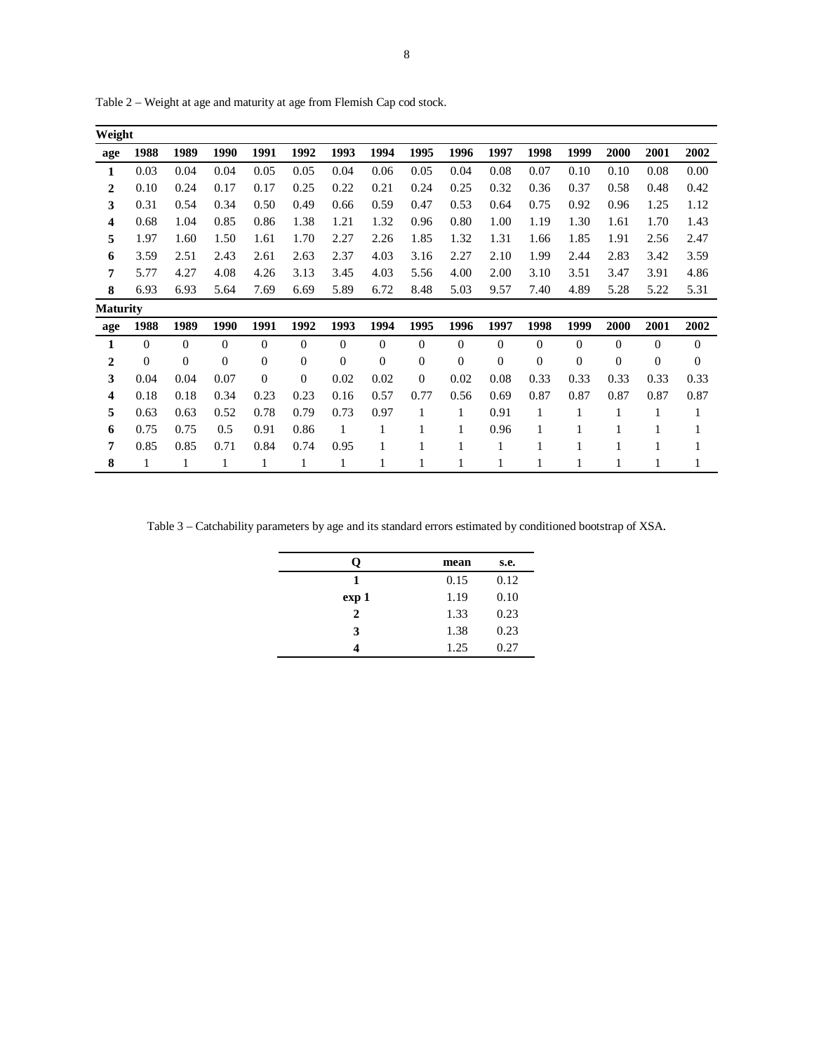| Weight          |          |          |                |                |              |              |              |          |                |              |                |                |              |          |              |
|-----------------|----------|----------|----------------|----------------|--------------|--------------|--------------|----------|----------------|--------------|----------------|----------------|--------------|----------|--------------|
| age             | 1988     | 1989     | 1990           | 1991           | 1992         | 1993         | 1994         | 1995     | 1996           | 1997         | 1998           | 1999           | 2000         | 2001     | 2002         |
| 1               | 0.03     | 0.04     | 0.04           | 0.05           | 0.05         | 0.04         | 0.06         | 0.05     | 0.04           | 0.08         | 0.07           | 0.10           | 0.10         | 0.08     | 0.00         |
| $\overline{2}$  | 0.10     | 0.24     | 0.17           | 0.17           | 0.25         | 0.22         | 0.21         | 0.24     | 0.25           | 0.32         | 0.36           | 0.37           | 0.58         | 0.48     | 0.42         |
| 3               | 0.31     | 0.54     | 0.34           | 0.50           | 0.49         | 0.66         | 0.59         | 0.47     | 0.53           | 0.64         | 0.75           | 0.92           | 0.96         | 1.25     | 1.12         |
| 4               | 0.68     | 1.04     | 0.85           | 0.86           | 1.38         | 1.21         | 1.32         | 0.96     | 0.80           | 1.00         | 1.19           | 1.30           | 1.61         | 1.70     | 1.43         |
| 5               | 1.97     | 1.60     | 1.50           | 1.61           | 1.70         | 2.27         | 2.26         | 1.85     | 1.32           | 1.31         | 1.66           | 1.85           | 1.91         | 2.56     | 2.47         |
| 6               | 3.59     | 2.51     | 2.43           | 2.61           | 2.63         | 2.37         | 4.03         | 3.16     | 2.27           | 2.10         | 1.99           | 2.44           | 2.83         | 3.42     | 3.59         |
| 7               | 5.77     | 4.27     | 4.08           | 4.26           | 3.13         | 3.45         | 4.03         | 5.56     | 4.00           | 2.00         | 3.10           | 3.51           | 3.47         | 3.91     | 4.86         |
| 8               | 6.93     | 6.93     | 5.64           | 7.69           | 6.69         | 5.89         | 6.72         | 8.48     | 5.03           | 9.57         | 7.40           | 4.89           | 5.28         | 5.22     | 5.31         |
| <b>Maturity</b> |          |          |                |                |              |              |              |          |                |              |                |                |              |          |              |
| age             | 1988     | 1989     | 1990           | 1991           | 1992         | 1993         | 1994         | 1995     | 1996           | 1997         | 1998           | 1999           | 2000         | 2001     | 2002         |
| 1               | $\theta$ | $\Omega$ | $\Omega$       | $\overline{0}$ | $\Omega$     | $\Omega$     | $\mathbf{0}$ | $\theta$ | $\Omega$       | $\mathbf{0}$ | $\Omega$       | $\Omega$       | $\Omega$     | $\Omega$ | $\mathbf{0}$ |
| $\overline{2}$  | $\theta$ | $\Omega$ | $\overline{0}$ | $\theta$       | $\mathbf{0}$ | $\mathbf{0}$ | $\mathbf{0}$ | 0        | $\overline{0}$ | $\mathbf{0}$ | $\overline{0}$ | $\overline{0}$ | $\mathbf{0}$ | $\theta$ | $\mathbf{0}$ |
| 3               | 0.04     | 0.04     | 0.07           | $\overline{0}$ | $\mathbf{0}$ | 0.02         | 0.02         | 0        | 0.02           | 0.08         | 0.33           | 0.33           | 0.33         | 0.33     | 0.33         |
| 4               | 0.18     | 0.18     | 0.34           | 0.23           | 0.23         | 0.16         | 0.57         | 0.77     | 0.56           | 0.69         | 0.87           | 0.87           | 0.87         | 0.87     | 0.87         |
| 5               | 0.63     | 0.63     | 0.52           | 0.78           | 0.79         | 0.73         | 0.97         | 1        | 1              | 0.91         | 1              |                | 1            | 1        | 1            |
| 6               | 0.75     | 0.75     | 0.5            | 0.91           | 0.86         | 1            | 1            |          | 1              | 0.96         |                |                |              | 1        | 1            |
| 7               | 0.85     | 0.85     | 0.71           | 0.84           | 0.74         | 0.95         | 1            |          | 1              | $\mathbf{1}$ |                |                |              |          |              |
| 8               | 1        | 1        | 1              | 1              | 1            | 1            | 1            | 1        | 1              | 1            |                |                |              | 1        |              |

Table 2 – Weight at age and maturity at age from Flemish Cap cod stock.

Table 3 – Catchability parameters by age and its standard errors estimated by conditioned bootstrap of XSA.

| O            | mean | s.e. |
|--------------|------|------|
| 1            | 0.15 | 0.12 |
| exp 1        | 1.19 | 0.10 |
| $\mathbf{2}$ | 1.33 | 0.23 |
| 3            | 1.38 | 0.23 |
|              | 1.25 | 0.27 |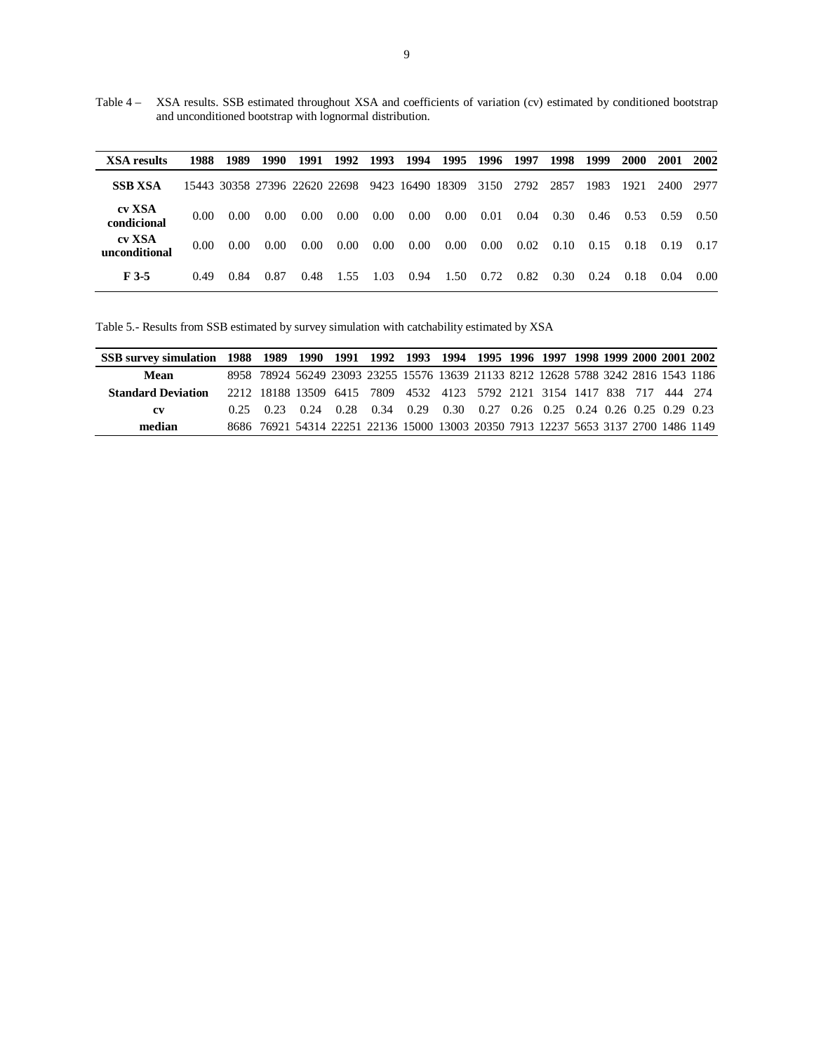Table 4 – XSA results. SSB estimated throughout XSA and coefficients of variation (cv) estimated by conditioned bootstrap and unconditioned bootstrap with lognormal distribution.

| <b>XSA</b> results      | 1988              | 1989 | 1990 |      | 1991 1992 | 1993     |          | 1994 1995 1996                                                |          | 1997 | 1998 | 1999 | <b>2000</b> | <b>2001</b> | 2002 |
|-------------------------|-------------------|------|------|------|-----------|----------|----------|---------------------------------------------------------------|----------|------|------|------|-------------|-------------|------|
| <b>SSB XSA</b>          |                   |      |      |      |           |          |          | 15443 30358 27396 22620 22698 9423 16490 18309 3150 2792 2857 |          |      |      | 1983 | 1921        | 2400 2977   |      |
| cv XSA<br>condicional   | 0.00              | 0.00 | 0.00 | 0.00 | $0.00\,$  | $0.00\,$ | $0.00\,$ | $0.00\,$                                                      | 0.01     | 0.04 | 0.30 | 0.46 | 0.53        | 0.59        | 0.50 |
| cv XSA<br>unconditional | 0.00 <sub>1</sub> | 0.00 | 0.00 | 0.00 | $0.00\,$  | $0.00\,$ | $0.00\,$ | $0.00\,$                                                      | $0.00\,$ | 0.02 | 0.10 | 0.15 | 0.18        | 0.19        | 0.17 |
| F 3-5                   | 0.49              | 0.84 | 0.87 | 0.48 | 1.55      | 1.03     | 0.94     | 1.50                                                          | 0.72     | 0.82 | 0.30 | 0.24 | 0.18        | 0.04        | 0.00 |

Table 5.- Results from SSB estimated by survey simulation with catchability estimated by XSA

| SSB survey simulation 1988 1989 1990 1991 1992 1993 1994 1995 1996 1997 1998 1999 2000 2001 2002 |      |                                                                                    |  |                                                                                            |  |  |  |  |  |
|--------------------------------------------------------------------------------------------------|------|------------------------------------------------------------------------------------|--|--------------------------------------------------------------------------------------------|--|--|--|--|--|
| Mean                                                                                             |      | 8958 78924 56249 23093 23255 15576 13639 21133 8212 12628 5788 3242 2816 1543 1186 |  |                                                                                            |  |  |  |  |  |
| <b>Standard Deviation</b>                                                                        |      | 2212 18188 13509 6415 7809 4532 4123 5792 2121 3154 1417 838 717 444 274           |  |                                                                                            |  |  |  |  |  |
| <b>CV</b>                                                                                        | 0.25 | 0.23                                                                               |  | $0.24$ $0.28$ $0.34$ $0.29$ $0.30$ $0.27$ $0.26$ $0.25$ $0.24$ $0.26$ $0.25$ $0.29$ $0.23$ |  |  |  |  |  |
| median                                                                                           |      | 8686 76921 54314 22251 22136 15000 13003 20350 7913 12237 5653 3137 2700 1486 1149 |  |                                                                                            |  |  |  |  |  |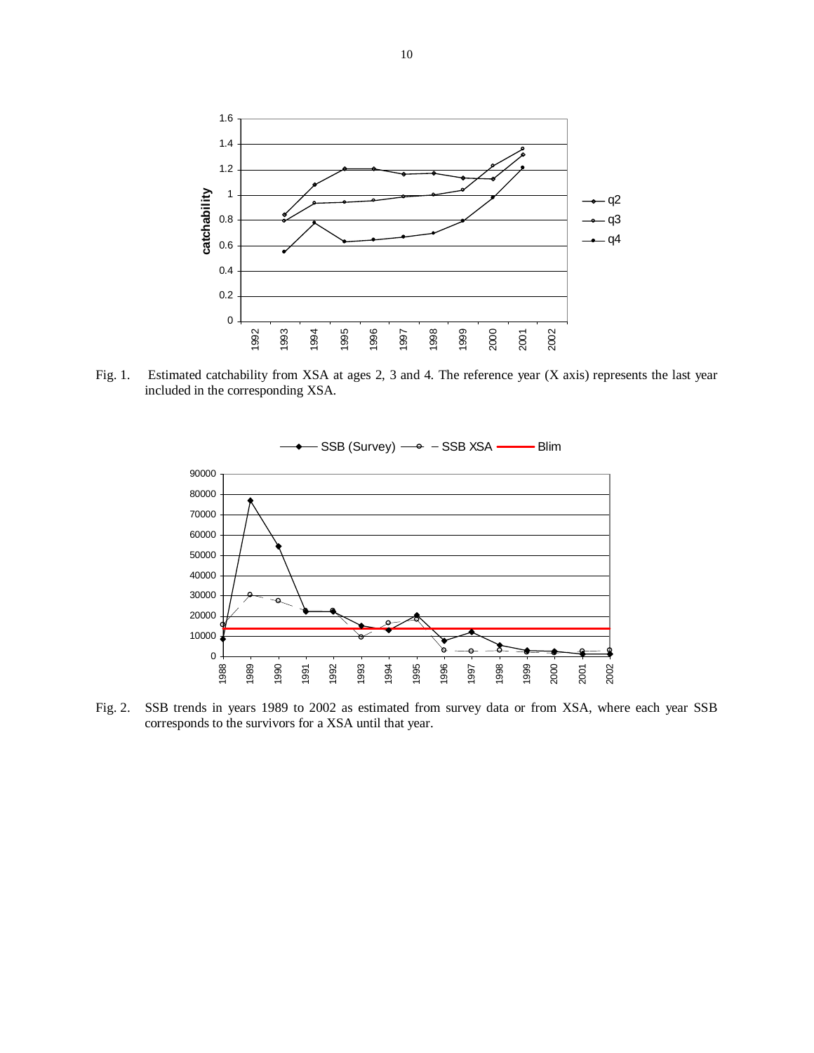

Fig. 1. Estimated catchability from XSA at ages 2, 3 and 4. The reference year (X axis) represents the last year included in the corresponding XSA.



Fig. 2. SSB trends in years 1989 to 2002 as estimated from survey data or from XSA, where each year SSB corresponds to the survivors for a XSA until that year.